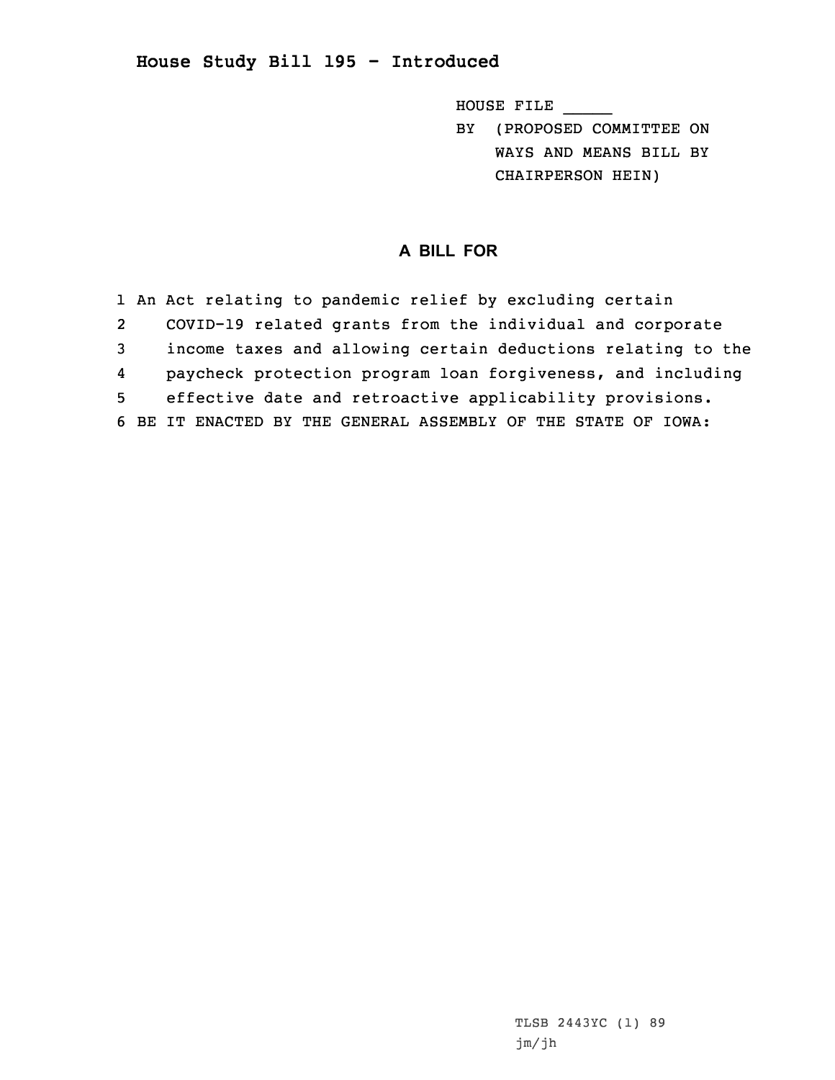## **House Study Bill 195 - Introduced**

HOUSE FILE \_\_\_\_\_

BY (PROPOSED COMMITTEE ON WAYS AND MEANS BILL BY CHAIRPERSON HEIN)

## **A BILL FOR**

|                | 1 An Act relating to pandemic relief by excluding certain     |
|----------------|---------------------------------------------------------------|
| $\overline{2}$ | COVID-19 related grants from the individual and corporate     |
| 3              | income taxes and allowing certain deductions relating to the  |
| 4              | paycheck protection program loan forgiveness, and including   |
| 5 <sup>1</sup> | effective date and retroactive applicability provisions.      |
|                | 6 BE IT ENACTED BY THE GENERAL ASSEMBLY OF THE STATE OF IOWA: |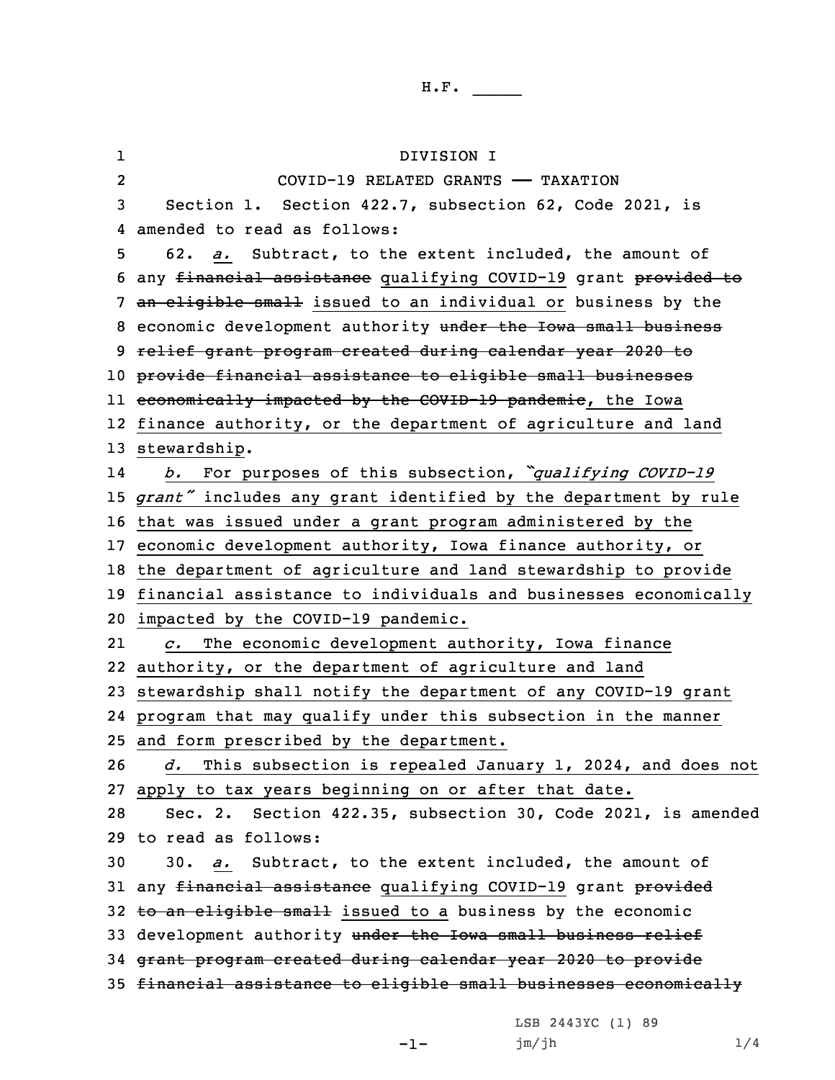H.F. \_\_\_\_\_

1 DIVISION I 2 COVID-19 RELATED GRANTS —— TAXATION Section 1. Section 422.7, subsection 62, Code 2021, is amended to read as follows: 62. *a.* Subtract, to the extent included, the amount of any financial assistance qualifying COVID-19 grant provided to 7 an eligible small issued to an individual or business by the 8 economic development authority under the Iowa small business relief grant program created during calendar year 2020 to provide financial assistance to eligible small businesses ll <del>economically impacted by the COVID-19 pandemic</del>, the Iowa finance authority, or the department of agriculture and land stewardship. 14 *b.* For purposes of this subsection, *"qualifying COVID-19 grant"* includes any grant identified by the department by rule that was issued under <sup>a</sup> grant program administered by the economic development authority, Iowa finance authority, or the department of agriculture and land stewardship to provide financial assistance to individuals and businesses economically impacted by the COVID-19 pandemic. 21 *c.* The economic development authority, Iowa finance authority, or the department of agriculture and land stewardship shall notify the department of any COVID-19 grant program that may qualify under this subsection in the manner and form prescribed by the department. *d.* This subsection is repealed January 1, 2024, and does not apply to tax years beginning on or after that date. Sec. 2. Section 422.35, subsection 30, Code 2021, is amended to read as follows: 30. *a.* Subtract, to the extent included, the amount of 31 any financial assistance qualifying COVID-19 grant provided 32 to an eligible small issued to a business by the economic 33 development authority under the Iowa small business relief grant program created during calendar year 2020 to provide financial assistance to eligible small businesses economically

LSB 2443YC (1) 89

jm/jh 1/4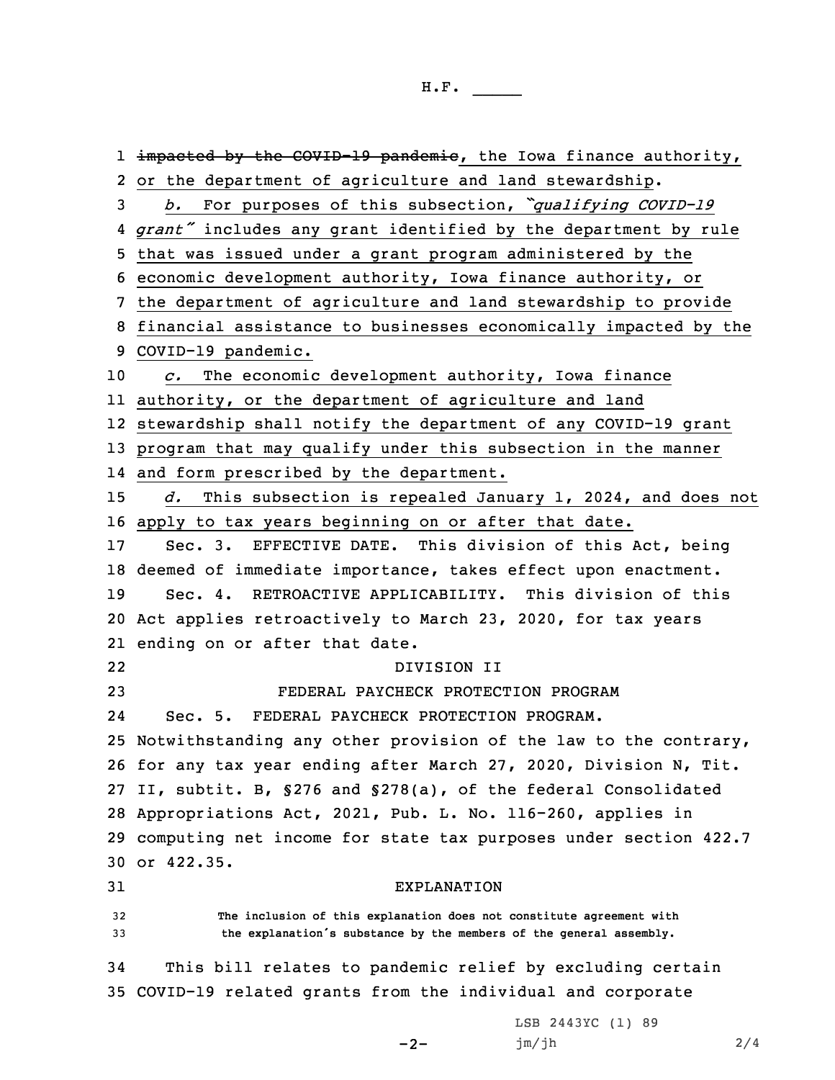1 <del>impacted by the COVID-19 pandemic</del>, the Iowa finance authority, or the department of agriculture and land stewardship. *b.* For purposes of this subsection, *"qualifying COVID-19 grant"* includes any grant identified by the department by rule that was issued under <sup>a</sup> grant program administered by the economic development authority, Iowa finance authority, or the department of agriculture and land stewardship to provide financial assistance to businesses economically impacted by the COVID-19 pandemic. *c.* The economic development authority, Iowa finance authority, or the department of agriculture and land stewardship shall notify the department of any COVID-19 grant program that may qualify under this subsection in the manner and form prescribed by the department. *d.* This subsection is repealed January 1, 2024, and does not apply to tax years beginning on or after that date. Sec. 3. EFFECTIVE DATE. This division of this Act, being deemed of immediate importance, takes effect upon enactment. Sec. 4. RETROACTIVE APPLICABILITY. This division of this Act applies retroactively to March 23, 2020, for tax years ending on or after that date. 22 DIVISION II FEDERAL PAYCHECK PROTECTION PROGRAM 24 Sec. 5. FEDERAL PAYCHECK PROTECTION PROGRAM. Notwithstanding any other provision of the law to the contrary, for any tax year ending after March 27, 2020, Division N, Tit. II, subtit. B, §276 and §278(a), of the federal Consolidated Appropriations Act, 2021, Pub. L. No. 116-260, applies in computing net income for state tax purposes under section 422.7 or 422.35. EXPLANATION **The inclusion of this explanation does not constitute agreement with the explanation's substance by the members of the general assembly.** This bill relates to pandemic relief by excluding certain COVID-19 related grants from the individual and corporate LSB 2443YC (1) 89

```
-2-
```
jm/jh 2/4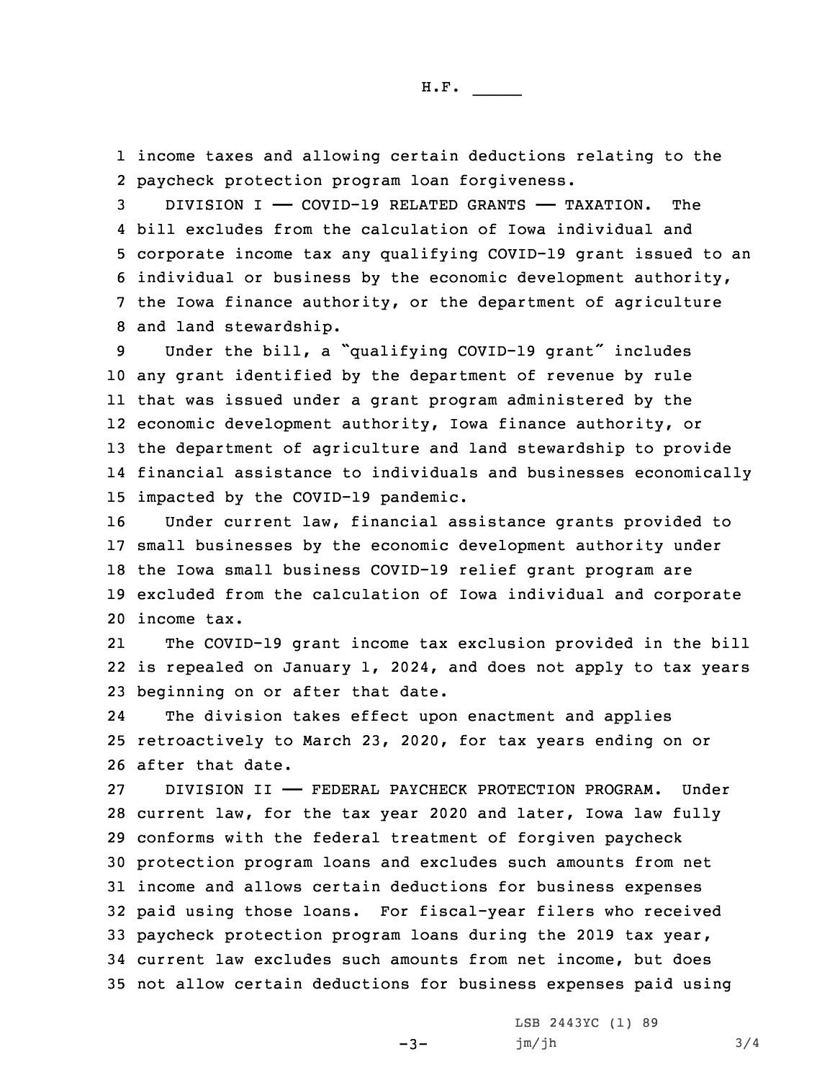1 income taxes and allowing certain deductions relating to the 2 paycheck protection program loan forgiveness.

 DIVISION I —— COVID-19 RELATED GRANTS —— TAXATION. The bill excludes from the calculation of Iowa individual and corporate income tax any qualifying COVID-19 grant issued to an individual or business by the economic development authority, the Iowa finance authority, or the department of agriculture and land stewardship.

9 Under the bill, a "qualifying COVID-19 grant" includes any grant identified by the department of revenue by rule that was issued under <sup>a</sup> grant program administered by the economic development authority, Iowa finance authority, or the department of agriculture and land stewardship to provide financial assistance to individuals and businesses economically impacted by the COVID-19 pandemic.

 Under current law, financial assistance grants provided to small businesses by the economic development authority under the Iowa small business COVID-19 relief grant program are excluded from the calculation of Iowa individual and corporate income tax.

21 The COVID-19 grant income tax exclusion provided in the bill 22 is repealed on January 1, 2024, and does not apply to tax years 23 beginning on or after that date.

24 The division takes effect upon enactment and applies 25 retroactively to March 23, 2020, for tax years ending on or 26 after that date.

 DIVISION II —— FEDERAL PAYCHECK PROTECTION PROGRAM. Under current law, for the tax year 2020 and later, Iowa law fully conforms with the federal treatment of forgiven paycheck protection program loans and excludes such amounts from net income and allows certain deductions for business expenses paid using those loans. For fiscal-year filers who received paycheck protection program loans during the 2019 tax year, current law excludes such amounts from net income, but does not allow certain deductions for business expenses paid using

 $-3-$ 

LSB 2443YC (1) 89 jm/jh 3/4